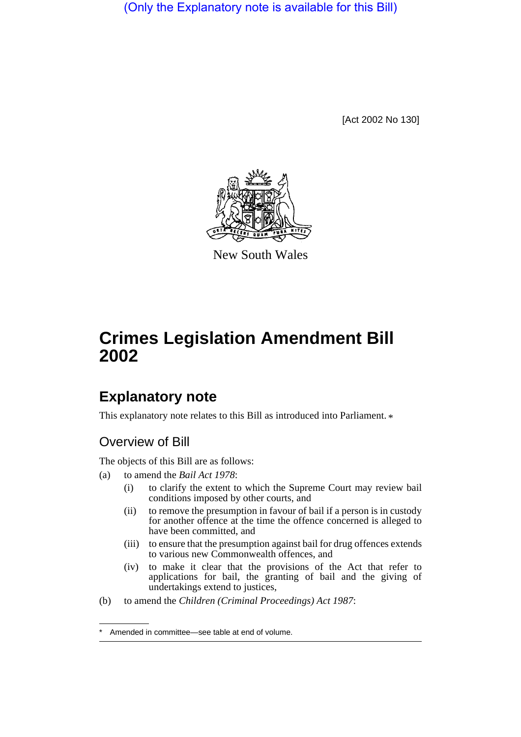(Only the Explanatory note is available for this Bill)

[Act 2002 No 130]



New South Wales

## **Crimes Legislation Amendment Bill 2002**

## **Explanatory note**

This explanatory note relates to this Bill as introduced into Parliament.  $*$ 

## Overview of Bill

The objects of this Bill are as follows:

- (a) to amend the *Bail Act 1978*:
	- (i) to clarify the extent to which the Supreme Court may review bail conditions imposed by other courts, and
	- (ii) to remove the presumption in favour of bail if a person is in custody for another offence at the time the offence concerned is alleged to have been committed, and
	- (iii) to ensure that the presumption against bail for drug offences extends to various new Commonwealth offences, and
	- (iv) to make it clear that the provisions of the Act that refer to applications for bail, the granting of bail and the giving of undertakings extend to justices,
- (b) to amend the *Children (Criminal Proceedings) Act 1987*:

Amended in committee—see table at end of volume.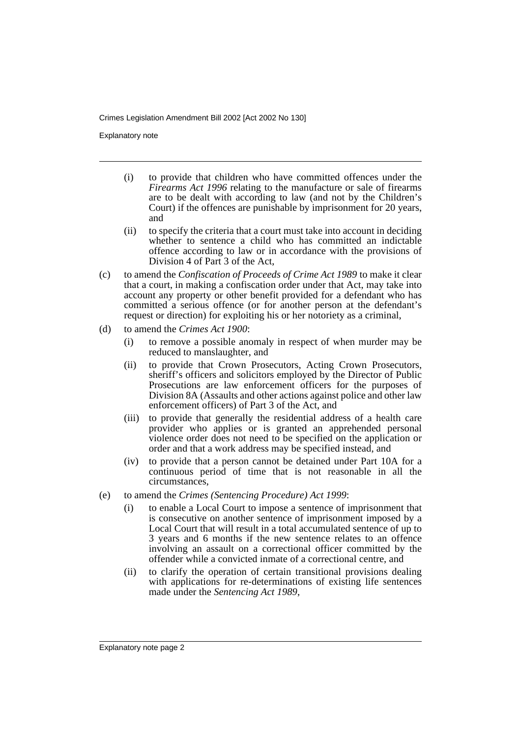Crimes Legislation Amendment Bill 2002 [Act 2002 No 130]

Explanatory note

- (i) to provide that children who have committed offences under the *Firearms Act 1996* relating to the manufacture or sale of firearms are to be dealt with according to law (and not by the Children's Court) if the offences are punishable by imprisonment for 20 years, and
- (ii) to specify the criteria that a court must take into account in deciding whether to sentence a child who has committed an indictable offence according to law or in accordance with the provisions of Division 4 of Part 3 of the Act,
- (c) to amend the *Confiscation of Proceeds of Crime Act 1989* to make it clear that a court, in making a confiscation order under that Act, may take into account any property or other benefit provided for a defendant who has committed a serious offence (or for another person at the defendant's request or direction) for exploiting his or her notoriety as a criminal,
- (d) to amend the *Crimes Act 1900*:
	- (i) to remove a possible anomaly in respect of when murder may be reduced to manslaughter, and
	- (ii) to provide that Crown Prosecutors, Acting Crown Prosecutors, sheriff's officers and solicitors employed by the Director of Public Prosecutions are law enforcement officers for the purposes of Division 8A (Assaults and other actions against police and other law enforcement officers) of Part 3 of the Act, and
	- (iii) to provide that generally the residential address of a health care provider who applies or is granted an apprehended personal violence order does not need to be specified on the application or order and that a work address may be specified instead, and
	- (iv) to provide that a person cannot be detained under Part 10A for a continuous period of time that is not reasonable in all the circumstances,
- (e) to amend the *Crimes (Sentencing Procedure) Act 1999*:
	- (i) to enable a Local Court to impose a sentence of imprisonment that is consecutive on another sentence of imprisonment imposed by a Local Court that will result in a total accumulated sentence of up to 3 years and 6 months if the new sentence relates to an offence involving an assault on a correctional officer committed by the offender while a convicted inmate of a correctional centre, and
	- (ii) to clarify the operation of certain transitional provisions dealing with applications for re-determinations of existing life sentences made under the *Sentencing Act 1989*,